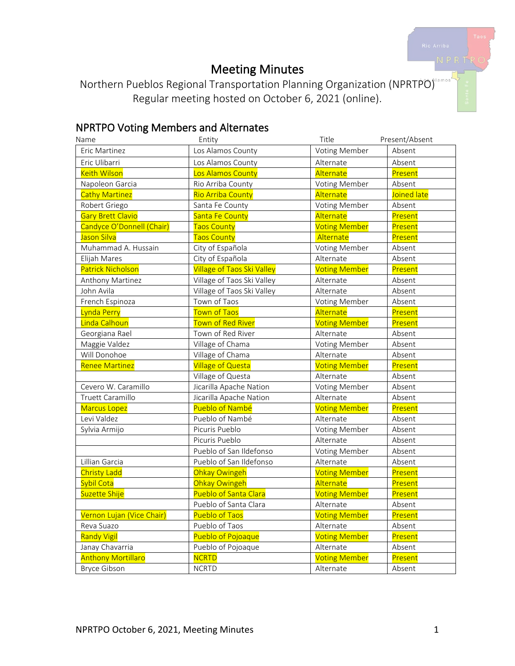# Meeting Minutes

Northern Pueblos Regional Transportation Planning Organization (NPRTPO) Regular meeting hosted on October 6, 2021 (online).

# NPRTPO Voting Members and Alternates

| Name<br>Entity                         |                                   | Title                | Present/Absent |  |
|----------------------------------------|-----------------------------------|----------------------|----------------|--|
| Eric Martinez                          | Los Alamos County                 | Voting Member        | Absent         |  |
| Eric Ulibarri                          | Los Alamos County                 | Alternate            | Absent         |  |
| <b>Keith Wilson</b>                    | Los Alamos County                 | Alternate            | Present        |  |
| Napoleon Garcia                        | Rio Arriba County                 |                      | Absent         |  |
| <b>Cathy Martinez</b>                  | <b>Rio Arriba County</b>          | Alternate            | Joined late    |  |
| Robert Griego                          | Santa Fe County                   | Voting Member        | Absent         |  |
| <b>Gary Brett Clavio</b>               | Santa Fe County                   | Alternate            | Present        |  |
| Candyce O'Donnell (Chair)              | <b>Taos County</b>                | <b>Voting Member</b> | Present        |  |
| Jason Silva                            | <b>Taos County</b>                | Alternate            | Present        |  |
| Muhammad A. Hussain                    | City of Española                  | <b>Voting Member</b> | Absent         |  |
| Elijah Mares                           | City of Española                  | Alternate            | Absent         |  |
| <b>Patrick Nicholson</b>               | <b>Village of Taos Ski Valley</b> | <b>Voting Member</b> | Present        |  |
| Anthony Martinez                       | Village of Taos Ski Valley        | Alternate            | Absent         |  |
| John Avila                             | Village of Taos Ski Valley        | Alternate            | Absent         |  |
| French Espinoza                        | Town of Taos                      | Voting Member        | Absent         |  |
| Lynda Perry                            | <b>Town of Taos</b>               | Alternate            | Present        |  |
| Linda Calhoun                          | Town of Red River                 | <b>Voting Member</b> | Present        |  |
| Georgiana Rael                         | Town of Red River                 | Alternate            | Absent         |  |
| Maggie Valdez                          | Village of Chama                  | Voting Member        | Absent         |  |
| Will Donohoe<br>Village of Chama       |                                   | Alternate            | Absent         |  |
| <b>Renee Martinez</b>                  | <b>Village of Questa</b>          | <b>Voting Member</b> | Present        |  |
|                                        | Village of Questa                 | Alternate            | Absent         |  |
| Cevero W. Caramillo                    | Jicarilla Apache Nation           | <b>Voting Member</b> | Absent         |  |
| Truett Caramillo                       | Jicarilla Apache Nation           | Alternate            | Absent         |  |
| <b>Marcus Lopez</b>                    | Pueblo of Nambé                   | <b>Voting Member</b> | Present        |  |
| Levi Valdez                            | Pueblo of Nambé                   | Alternate            | Absent         |  |
| Sylvia Armijo                          | Picuris Pueblo                    | <b>Voting Member</b> | Absent         |  |
|                                        | Picuris Pueblo                    | Alternate            | Absent         |  |
|                                        | Pueblo of San Ildefonso           | Voting Member        | Absent         |  |
| Lillian Garcia                         | Pueblo of San Ildefonso           | Alternate            | Absent         |  |
| <b>Christy Ladd</b>                    | Ohkay Owingeh                     | <b>Voting Member</b> | Present        |  |
| Ohkay Owingeh<br><b>Sybil Cota</b>     |                                   | Alternate            | Present        |  |
| Suzette Shije<br>Pueblo of Santa Clara |                                   | <b>Voting Member</b> | Present        |  |
|                                        | Pueblo of Santa Clara             | Alternate            | Absent         |  |
| Vernon Lujan (Vice Chair)              | <b>Pueblo of Taos</b>             | <b>Voting Member</b> | Present        |  |
| Reva Suazo                             | Pueblo of Taos                    | Alternate            | Absent         |  |
| <b>Randy Vigil</b>                     | Pueblo of Pojoaque                | <b>Voting Member</b> | Present        |  |
| Janay Chavarria                        | Pueblo of Pojoaque                | Alternate            | Absent         |  |
| <b>Anthony Mortillaro</b>              | <b>NCRTD</b>                      | <b>Voting Member</b> | Present        |  |
| <b>Bryce Gibson</b><br><b>NCRTD</b>    |                                   | Alternate            | Absent         |  |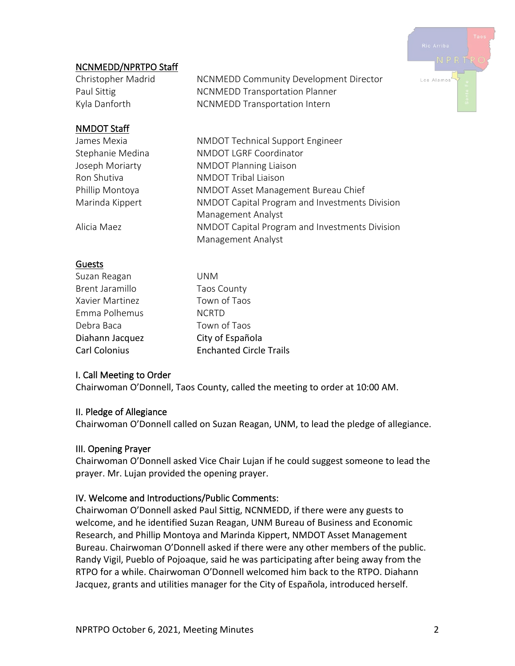

# NCNMEDD/NPRTPO Staff

Christopher Madrid MCNMEDD Community Development Director Paul Sittig **NUMEDD** Transportation Planner Kyla Danforth NCNMEDD Transportation Intern

# NMDOT Staff

James Mexia NMDOT Technical Support Engineer Stephanie Medina **NMDOT LGRF Coordinator** Joseph Moriarty **NMDOT Planning Liaison** Ron Shutiva **NMDOT** Tribal Liaison Phillip Montoya NMDOT Asset Management Bureau Chief Marinda Kippert NMDOT Capital Program and Investments Division Management Analyst Alicia Maez NMDOT Capital Program and Investments Division

## **Guests**

| Suzan Reagan    |  |  |  |  |
|-----------------|--|--|--|--|
| Brent Jaramillo |  |  |  |  |
| Xavier Martinez |  |  |  |  |
| Emma Polhemus   |  |  |  |  |
| Debra Baca      |  |  |  |  |
| Diahann Jacquez |  |  |  |  |
| Carl Colonius   |  |  |  |  |

UNM Taos County Town of Taos NCRTD. Town of Taos City of Española **Enchanted Circle Trails** 

Management Analyst

## I. Call Meeting to Order

Chairwoman O'Donnell, Taos County, called the meeting to order at 10:00 AM.

## II. Pledge of Allegiance

Chairwoman O'Donnell called on Suzan Reagan, UNM, to lead the pledge of allegiance.

## III. Opening Prayer

Chairwoman O'Donnell asked Vice Chair Lujan if he could suggest someone to lead the prayer. Mr. Lujan provided the opening prayer.

## IV. Welcome and Introductions/Public Comments:

Chairwoman O'Donnell asked Paul Sittig, NCNMEDD, if there were any guests to welcome, and he identified Suzan Reagan, UNM Bureau of Business and Economic Research, and Phillip Montoya and Marinda Kippert, NMDOT Asset Management Bureau. Chairwoman O'Donnell asked if there were any other members of the public. Randy Vigil, Pueblo of Pojoaque, said he was participating after being away from the RTPO for a while. Chairwoman O'Donnell welcomed him back to the RTPO. Diahann Jacquez, grants and utilities manager for the City of Española, introduced herself.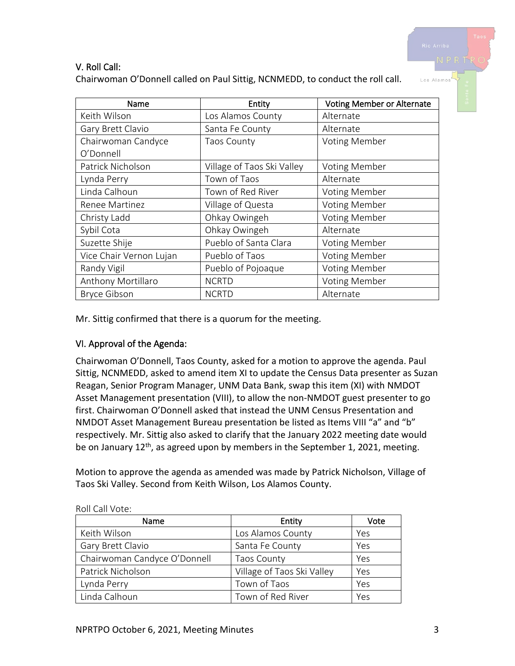

# V. Roll Call:

Chairwoman O'Donnell called on Paul Sittig, NCNMEDD, to conduct the roll call.

| Name                    | Entity                     | <b>Voting Member or Alternate</b> |
|-------------------------|----------------------------|-----------------------------------|
| Keith Wilson            | Los Alamos County          | Alternate                         |
| Gary Brett Clavio       | Santa Fe County            | Alternate                         |
| Chairwoman Candyce      | <b>Taos County</b>         | <b>Voting Member</b>              |
| O'Donnell               |                            |                                   |
| Patrick Nicholson       | Village of Taos Ski Valley | <b>Voting Member</b>              |
| Lynda Perry             | Town of Taos               | Alternate                         |
| Linda Calhoun           | Town of Red River          | <b>Voting Member</b>              |
| Renee Martinez          | Village of Questa          | <b>Voting Member</b>              |
| Christy Ladd            | Ohkay Owingeh              | <b>Voting Member</b>              |
| Sybil Cota              | Ohkay Owingeh              | Alternate                         |
| Suzette Shije           | Pueblo of Santa Clara      | <b>Voting Member</b>              |
| Vice Chair Vernon Lujan | Pueblo of Taos             | <b>Voting Member</b>              |
| Randy Vigil             | Pueblo of Pojoaque         | <b>Voting Member</b>              |
| Anthony Mortillaro      | <b>NCRTD</b>               | <b>Voting Member</b>              |
| <b>Bryce Gibson</b>     | <b>NCRTD</b>               | Alternate                         |

Mr. Sittig confirmed that there is a quorum for the meeting.

## VI. Approval of the Agenda:

Chairwoman O'Donnell, Taos County, asked for a motion to approve the agenda. Paul Sittig, NCNMEDD, asked to amend item XI to update the Census Data presenter as Suzan Reagan, Senior Program Manager, UNM Data Bank, swap this item (XI) with NMDOT Asset Management presentation (VIII), to allow the non-NMDOT guest presenter to go first. Chairwoman O'Donnell asked that instead the UNM Census Presentation and NMDOT Asset Management Bureau presentation be listed as Items VIII "a" and "b" respectively. Mr. Sittig also asked to clarify that the January 2022 meeting date would be on January 12<sup>th</sup>, as agreed upon by members in the September 1, 2021, meeting.

Motion to approve the agenda as amended was made by Patrick Nicholson, Village of Taos Ski Valley. Second from Keith Wilson, Los Alamos County.

| Name                         | Entity                     | Vote |
|------------------------------|----------------------------|------|
| Keith Wilson                 | Los Alamos County          | Yes  |
| Gary Brett Clavio            | Santa Fe County            | Yes  |
| Chairwoman Candyce O'Donnell | <b>Taos County</b>         | Yes  |
| Patrick Nicholson            | Village of Taos Ski Valley | Yes  |
| Lynda Perry                  | Town of Taos               | Yes  |
| Linda Calhoun                | Town of Red River          | Yes  |

Roll Call Vote: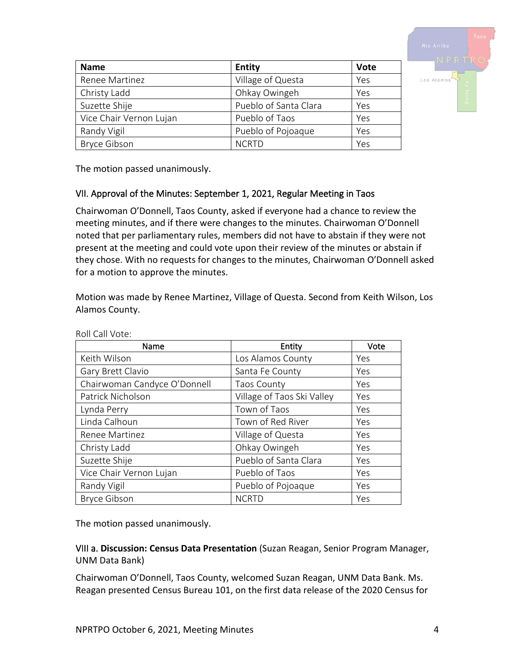

| <b>Name</b>             | <b>Entity</b>         | <b>Vote</b> |
|-------------------------|-----------------------|-------------|
| Renee Martinez          | Village of Questa     | Yes         |
| Christy Ladd            | Ohkay Owingeh         | Yes         |
| Suzette Shije           | Pueblo of Santa Clara | Yes         |
| Vice Chair Vernon Lujan | Pueblo of Taos        | Yes         |
| Randy Vigil             | Pueblo of Pojoaque    | Yes         |
| <b>Bryce Gibson</b>     | <b>NCRTD</b>          | Yes         |

The motion passed unanimously.

## VII. Approval of the Minutes: September 1, 2021, Regular Meeting in Taos

Chairwoman O'Donnell, Taos County, asked if everyone had a chance to review the meeting minutes, and if there were changes to the minutes. Chairwoman O'Donnell noted that per parliamentary rules, members did not have to abstain if they were not present at the meeting and could vote upon their review of the minutes or abstain if they chose. With no requests for changes to the minutes, Chairwoman O'Donnell asked for a motion to approve the minutes.

Motion was made by Renee Martinez, Village of Questa. Second from Keith Wilson, Los Alamos County.

| Name                         | Entity                     | Vote |
|------------------------------|----------------------------|------|
| Keith Wilson                 | Los Alamos County          | Yes  |
| Gary Brett Clavio            | Santa Fe County            | Yes  |
| Chairwoman Candyce O'Donnell | <b>Taos County</b>         | Yes  |
| Patrick Nicholson            | Village of Taos Ski Valley | Yes  |
| Lynda Perry                  | Town of Taos               | Yes  |
| Linda Calhoun                | Town of Red River          | Yes  |
| Renee Martinez               | Village of Questa          | Yes  |
| Christy Ladd                 | Ohkay Owingeh              | Yes  |
| Suzette Shije                | Pueblo of Santa Clara      | Yes  |
| Vice Chair Vernon Lujan      | Pueblo of Taos             | Yes  |
| Randy Vigil                  | Pueblo of Pojoaque         | Yes  |
| <b>Bryce Gibson</b>          | <b>NCRTD</b>               | Yes  |

Roll Call Vote:

The motion passed unanimously.

VIII a. **Discussion: Census Data Presentation** (Suzan Reagan, Senior Program Manager, UNM Data Bank)

Chairwoman O'Donnell, Taos County, welcomed Suzan Reagan, UNM Data Bank. Ms. Reagan presented Census Bureau 101, on the first data release of the 2020 Census for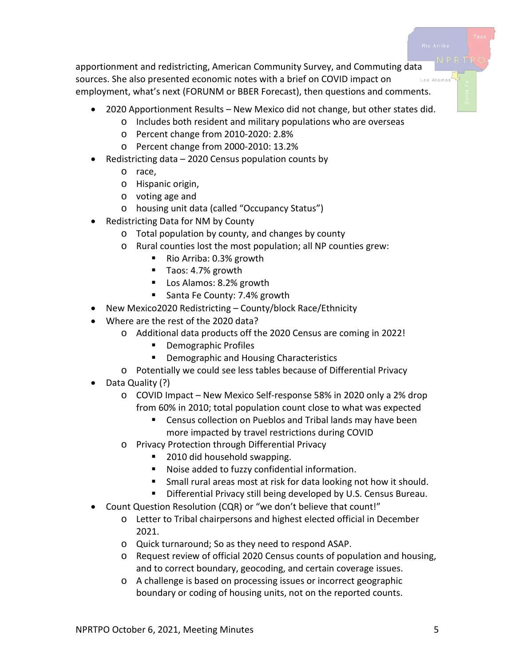apportionment and redistricting, American Community Survey, and Commuting data sources. She also presented economic notes with a brief on COVID impact on Los Alamos employment, what's next (FORUNM or BBER Forecast), then questions and comments.

- 2020 Apportionment Results New Mexico did not change, but other states did.
	- o Includes both resident and military populations who are overseas
		- o Percent change from 2010-2020: 2.8%
		- o Percent change from 2000-2010: 13.2%
- Redistricting data 2020 Census population counts by
	- o race,
	- o Hispanic origin,
	- o voting age and
	- o housing unit data (called "Occupancy Status")
- Redistricting Data for NM by County
	- o Total population by county, and changes by county
	- o Rural counties lost the most population; all NP counties grew:
		- Rio Arriba: 0.3% growth
		- Taos: 4.7% growth
		- Los Alamos: 8.2% growth
		- Santa Fe County: 7.4% growth
- New Mexico2020 Redistricting County/block Race/Ethnicity
- Where are the rest of the 2020 data?
	- o Additional data products off the 2020 Census are coming in 2022!
		- **•** Demographic Profiles
		- **Demographic and Housing Characteristics**
	- o Potentially we could see less tables because of Differential Privacy
- Data Quality (?)
	- o COVID Impact New Mexico Self-response 58% in 2020 only a 2% drop from 60% in 2010; total population count close to what was expected
		- Census collection on Pueblos and Tribal lands may have been more impacted by travel restrictions during COVID
	- o Privacy Protection through Differential Privacy
		- 2010 did household swapping.
		- **Noise added to fuzzy confidential information.**
		- **Small rural areas most at risk for data looking not how it should.**
		- **Differential Privacy still being developed by U.S. Census Bureau.**
- Count Question Resolution (CQR) or "we don't believe that count!"
	- o Letter to Tribal chairpersons and highest elected official in December 2021.
	- o Quick turnaround; So as they need to respond ASAP.
	- o Request review of official 2020 Census counts of population and housing, and to correct boundary, geocoding, and certain coverage issues.
	- o A challenge is based on processing issues or incorrect geographic boundary or coding of housing units, not on the reported counts.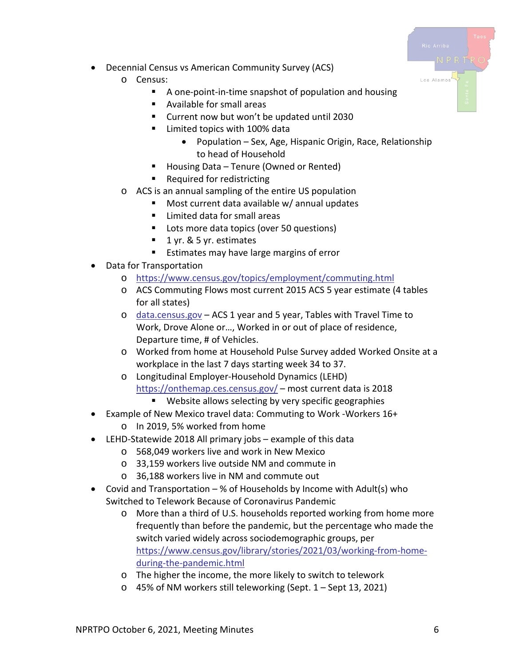- Decennial Census vs American Community Survey (ACS)
	- o Census:
		- A one-point-in-time snapshot of population and housing
		- Available for small areas
		- Current now but won't be updated until 2030
		- **Limited topics with 100% data** 
			- Population Sex, Age, Hispanic Origin, Race, Relationship to head of Household
		- Housing Data Tenure (Owned or Rented)
		- Required for redistricting
	- o ACS is an annual sampling of the entire US population
		- Most current data available w/ annual updates
		- **Limited data for small areas**
		- **Lots more data topics (over 50 questions)**
		- $1$  yr. & 5 yr. estimates
		- **Estimates may have large margins of error**
- Data for Transportation
	- o <https://www.census.gov/topics/employment/commuting.html>
	- o ACS Commuting Flows most current 2015 ACS 5 year estimate (4 tables for all states)
	- o [data.census.gov](https://data.census.gov/) ACS 1 year and 5 year, Tables with Travel Time to Work, Drove Alone or…, Worked in or out of place of residence, Departure time, # of Vehicles.
	- o Worked from home at Household Pulse Survey added Worked Onsite at a workplace in the last 7 days starting week 34 to 37.
	- o Longitudinal Employer-Household Dynamics (LEHD) <https://onthemap.ces.census.gov/> – most current data is 2018 **Website allows selecting by very specific geographies**
- Example of New Mexico travel data: Commuting to Work -Workers 16+
	- o In 2019, 5% worked from home
- LEHD-Statewide 2018 All primary jobs example of this data
	- o 568,049 workers live and work in New Mexico
	- o 33,159 workers live outside NM and commute in
	- o 36,188 workers live in NM and commute out
- Covid and Transportation  $-$  % of Households by Income with Adult(s) who Switched to Telework Because of Coronavirus Pandemic
	- o More than a third of U.S. households reported working from home more frequently than before the pandemic, but the percentage who made the switch varied widely across sociodemographic groups, per [https://www.census.gov/library/stories/2021/03/working-from-home](https://www.census.gov/library/stories/2021/03/working-from-home-during-the-pandemic.html)[during-the-pandemic.html](https://www.census.gov/library/stories/2021/03/working-from-home-during-the-pandemic.html)
	- o The higher the income, the more likely to switch to telework
	- o 45% of NM workers still teleworking (Sept. 1 Sept 13, 2021)

Los Alamos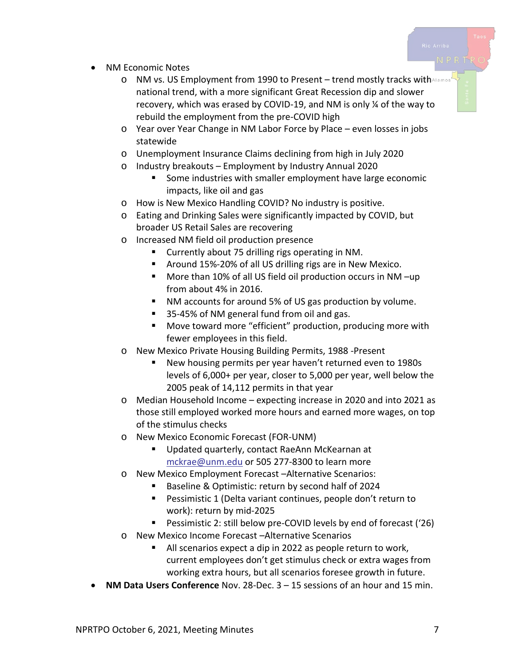- NM Economic Notes
	- o NM vs. US Employment from 1990 to Present trend mostly tracks with Mannes national trend, with a more significant Great Recession dip and slower recovery, which was erased by COVID-19, and NM is only ¼ of the way to rebuild the employment from the pre-COVID high
	- o Year over Year Change in NM Labor Force by Place even losses in jobs statewide
	- o Unemployment Insurance Claims declining from high in July 2020
	- o Industry breakouts Employment by Industry Annual 2020
		- **Some industries with smaller employment have large economic** impacts, like oil and gas
	- o How is New Mexico Handling COVID? No industry is positive.
	- o Eating and Drinking Sales were significantly impacted by COVID, but broader US Retail Sales are recovering
	- o Increased NM field oil production presence
		- Currently about 75 drilling rigs operating in NM.
		- Around 15%-20% of all US drilling rigs are in New Mexico.
		- More than 10% of all US field oil production occurs in NM-up from about 4% in 2016.
		- NM accounts for around 5% of US gas production by volume.
		- 35-45% of NM general fund from oil and gas.
		- Move toward more "efficient" production, producing more with fewer employees in this field.
	- o New Mexico Private Housing Building Permits, 1988 -Present
		- New housing permits per year haven't returned even to 1980s levels of 6,000+ per year, closer to 5,000 per year, well below the 2005 peak of 14,112 permits in that year
	- o Median Household Income expecting increase in 2020 and into 2021 as those still employed worked more hours and earned more wages, on top of the stimulus checks
	- o New Mexico Economic Forecast (FOR-UNM)
		- Updated quarterly, contact RaeAnn McKearnan at [mckrae@unm.edu](mailto:mckrae@unm.edu) or 505 277-8300 to learn more
	- o New Mexico Employment Forecast –Alternative Scenarios:
		- Baseline & Optimistic: return by second half of 2024
		- **Pessimistic 1 (Delta variant continues, people don't return to** work): return by mid-2025
		- **Pessimistic 2: still below pre-COVID levels by end of forecast ('26)**
	- o New Mexico Income Forecast –Alternative Scenarios
		- All scenarios expect a dip in 2022 as people return to work, current employees don't get stimulus check or extra wages from working extra hours, but all scenarios foresee growth in future.
- **NM Data Users Conference** Nov. 28-Dec. 3 15 sessions of an hour and 15 min.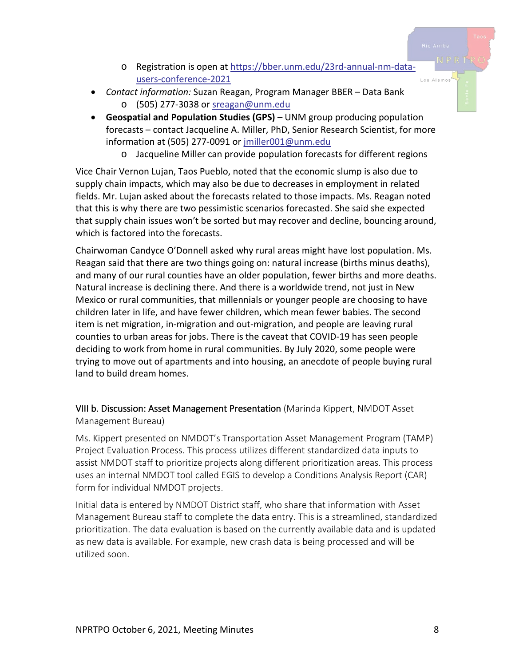Los Alamos

- o Registration is open at [https://bber.unm.edu/23rd-annual-nm-data](https://bber.unm.edu/23rd-annual-nm-data-users-conference-2021)[users-conference-2021](https://bber.unm.edu/23rd-annual-nm-data-users-conference-2021)
- *Contact information:* Suzan Reagan, Program Manager BBER Data Bank o (505) 277-3038 or [sreagan@unm.edu](mailto:sreagan@unm.edu)
- **Geospatial and Population Studies (GPS)** UNM group producing population forecasts – contact Jacqueline A. Miller, PhD, Senior Research Scientist, for more information at (505) 277-0091 o[r jmiller001@unm.edu](mailto:jmiller001@unm.edu)
	- o Jacqueline Miller can provide population forecasts for different regions

Vice Chair Vernon Lujan, Taos Pueblo, noted that the economic slump is also due to supply chain impacts, which may also be due to decreases in employment in related fields. Mr. Lujan asked about the forecasts related to those impacts. Ms. Reagan noted that this is why there are two pessimistic scenarios forecasted. She said she expected that supply chain issues won't be sorted but may recover and decline, bouncing around, which is factored into the forecasts.

Chairwoman Candyce O'Donnell asked why rural areas might have lost population. Ms. Reagan said that there are two things going on: natural increase (births minus deaths), and many of our rural counties have an older population, fewer births and more deaths. Natural increase is declining there. And there is a worldwide trend, not just in New Mexico or rural communities, that millennials or younger people are choosing to have children later in life, and have fewer children, which mean fewer babies. The second item is net migration, in-migration and out-migration, and people are leaving rural counties to urban areas for jobs. There is the caveat that COVID-19 has seen people deciding to work from home in rural communities. By July 2020, some people were trying to move out of apartments and into housing, an anecdote of people buying rural land to build dream homes.

VIII b. Discussion: Asset Management Presentation (Marinda Kippert, NMDOT Asset Management Bureau)

Ms. Kippert presented on NMDOT's Transportation Asset Management Program (TAMP) Project Evaluation Process. This process utilizes different standardized data inputs to assist NMDOT staff to prioritize projects along different prioritization areas. This process uses an internal NMDOT tool called EGIS to develop a Conditions Analysis Report (CAR) form for individual NMDOT projects.

Initial data is entered by NMDOT District staff, who share that information with Asset Management Bureau staff to complete the data entry. This is a streamlined, standardized prioritization. The data evaluation is based on the currently available data and is updated as new data is available. For example, new crash data is being processed and will be utilized soon.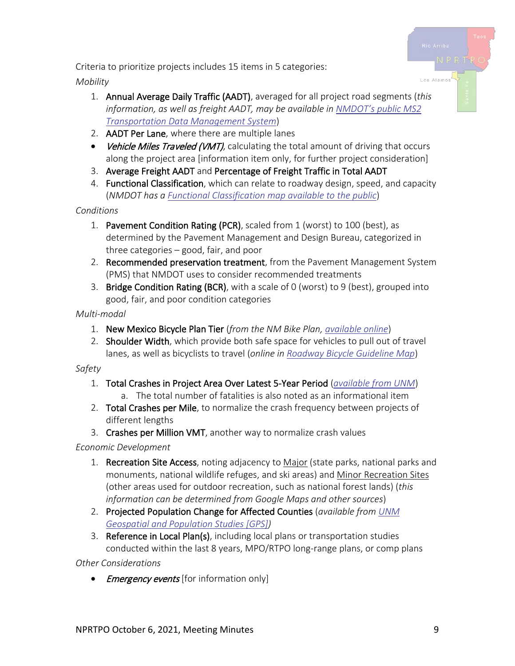NPRTPO October 6, 2021, Meeting Minutes 9

Criteria to prioritize projects includes 15 items in 5 categories:

*Mobility*

- 1. Annual Average Daily Traffic (AADT), averaged for all project road segments (*this information, as well as freight AADT, may be available in [NMDOT's public MS2](https://nmdot.public.ms2soft.com/tcds/)  [Transportation Data Management System](https://nmdot.public.ms2soft.com/tcds/)*)
- 2. AADT Per Lane, where there are multiple lanes
- Vehicle Miles Traveled (VMT), calculating the total amount of driving that occurs along the project area [information item only, for further project consideration]
- 3. Average Freight AADT and Percentage of Freight Traffic in Total AADT
- 4. Functional Classification, which can relate to roadway design, speed, and capacity (*NMDOT has a [Functional Classification map available to the public](https://nmdot.maps.arcgis.com/apps/webappviewer/index.html?id=f2fc877d107b4e338deb789f70a8779e)*)

*Conditions*

- 1. Pavement Condition Rating (PCR), scaled from 1 (worst) to 100 (best), as determined by the Pavement Management and Design Bureau, categorized in three categories – good, fair, and poor
- 2. Recommended preservation treatment, from the Pavement Management System (PMS) that NMDOT uses to consider recommended treatments
- 3. Bridge Condition Rating (BCR), with a scale of 0 (worst) to 9 (best), grouped into good, fair, and poor condition categories

*Multi-modal*

- 1. New Mexico Bicycle Plan Tier (*from the NM Bike Plan, [available online](https://www.dot.state.nm.us/content/nmdot/en/Planning.html#BPE)*)
- 2. Shoulder Width, which provide both safe space for vehicles to pull out of travel lanes, as well as bicyclists to travel (*online in [Roadway Bicycle Guideline Map](https://nmdot.maps.arcgis.com/apps/webappviewer/index.html?id=25379a5f300c4aafbd36147c7c7127d1)*)

*Safety*

- 1. Total Crashes in Project Area Over Latest 5-Year Period (*[available from UNM](https://gps.unm.edu/tru/crash-maps/multi-year-maps)*) a. The total number of fatalities is also noted as an informational item
- 2. Total Crashes per Mile, to normalize the crash frequency between projects of different lengths
- 3. Crashes per Million VMT, another way to normalize crash values

*Economic Development*

- 1. Recreation Site Access, noting adjacency to Major (state parks, national parks and monuments, national wildlife refuges, and ski areas) and Minor Recreation Sites (other areas used for outdoor recreation, such as national forest lands) (*this information can be determined from Google Maps and other sources*)
- 2. Projected Population Change for Affected Counties (*available from [UNM](https://gps.unm.edu/pru/projections)  [Geospatial and Population Studies \[GPS\]\)](https://gps.unm.edu/pru/projections)*
- 3. Reference in Local Plan(s), including local plans or transportation studies conducted within the last 8 years, MPO/RTPO long-range plans, or comp plans

*Other Considerations*

• *Emergency events* [for information only]

los Alamo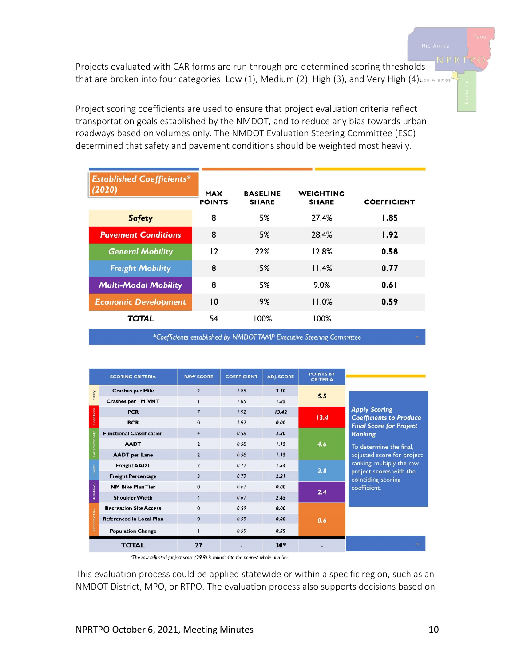Projects evaluated with CAR forms are run through pre-determined scoring thresholds that are broken into four categories: Low (1), Medium (2), High (3), and Very High (4). os Alamos

Project scoring coefficients are used to ensure that project evaluation criteria reflect transportation goals established by the NMDOT, and to reduce any bias towards urban roadways based on volumes only. The NMDOT Evaluation Steering Committee (ESC) determined that safety and pavement conditions should be weighted most heavily.

| <b>Established Coefficients*</b><br>(2020) | <b>MAX</b>    | <b>BASELINE</b> | <b>WEIGHTING</b> |                    |
|--------------------------------------------|---------------|-----------------|------------------|--------------------|
|                                            | <b>POINTS</b> | <b>SHARE</b>    | <b>SHARE</b>     | <b>COEFFICIENT</b> |
| <b>Safety</b>                              | 8             | 15%             | 27.4%            | 1.85               |
| <b>Pavement Conditions</b>                 | 8             | 15%             | 28.4%            | 1.92               |
| <b>General Mobility</b>                    | 12            | 22%             | 12.8%            | 0.58               |
| <b>Freight Mobility</b>                    | 8             | 15%             | 11.4%            | 0.77               |
| <b>Multi-Modal Mobility</b>                | 8             | 15%             | 9.0%             | 0.61               |
| <b>Economic Development</b>                | 10            | 19%             | 11.0%            | 0.59               |
| <b>TOTAL</b>                               | 54            | 100%            | 100%             |                    |

\*Coefficients established by NMDOT TAMP Executive Steering Committee

|                  | <b>SCORING CRITERIA</b>          | <b>RAW SCORE</b> | <b>COEFFICIENT</b> | <b>ADJ. SCORE</b> | <b>POINTS BY</b><br><b>CRITERIA</b> |                                                                  |
|------------------|----------------------------------|------------------|--------------------|-------------------|-------------------------------------|------------------------------------------------------------------|
| Safety           | <b>Crashes per Mile</b>          | $\overline{2}$   | 1.85               | 3.70              | 5.5                                 |                                                                  |
|                  | Crashes per IM VMT               |                  | 1.85               | 1.85              |                                     |                                                                  |
|                  | <b>PCR</b>                       | $\overline{7}$   | 1.92               | 13.42             |                                     | <b>Apply Scoring</b>                                             |
| Conditions       | <b>BCR</b>                       | $\mathbf 0$      | 1.92               | 0.00              | 13.4                                | <b>Coefficients to Produce</b><br><b>Final Score for Project</b> |
|                  | <b>Functional Classification</b> | $\overline{4}$   | 0.58               | 2.30              |                                     | <b>Ranking</b>                                                   |
| General Mobility | <b>AADT</b>                      | $\overline{2}$   | 0.58               | 1.15              | 4.6                                 | To determine the final,                                          |
|                  | <b>AADT</b> per Lane             | $\overline{2}$   | 0.58               | 1.15              |                                     | adjusted score for project                                       |
| Freight          | Freight AADT                     | $\overline{2}$   | 0.77               | 1.54              |                                     | ranking, multiply the raw                                        |
|                  | <b>Freight Percentage</b>        | 3                | 0.77               | 2.31              | 3.8                                 | project scores with the<br>coinciding scoring                    |
| Multi-Modal      | <b>NM Bike Plan Tier</b>         | $\mathbf 0$      | 0.61               | 0.00              | 2.4                                 | coefficient.                                                     |
|                  | <b>Shoulder Width</b>            | $\overline{4}$   | 0.61               | 2.43              |                                     |                                                                  |
| Dew.             | <b>Recreation Site Access</b>    | $\Omega$         | 0.59               | 0.00              |                                     |                                                                  |
| Economic         | <b>Referenced in Local Plan</b>  | $\mathbf{0}$     | 0.59               | 0.00              | 0.6                                 |                                                                  |
|                  | <b>Population Change</b>         |                  | 0.59               | 0.59              |                                     |                                                                  |
|                  | TOTAL                            | 27               |                    | $30*$             |                                     | 73                                                               |

\*The raw adjusted project score (29.9) is rounded to the nearest whole number.

This evaluation process could be applied statewide or within a specific region, such as an NMDOT District, MPO, or RTPO. The evaluation process also supports decisions based on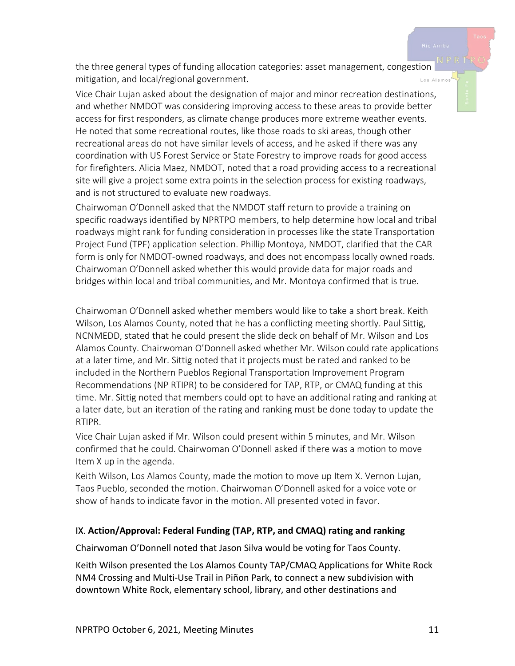the three general types of funding allocation categories: asset management, congestion mitigation, and local/regional government. Los Alamo

Vice Chair Lujan asked about the designation of major and minor recreation destinations, and whether NMDOT was considering improving access to these areas to provide better access for first responders, as climate change produces more extreme weather events. He noted that some recreational routes, like those roads to ski areas, though other recreational areas do not have similar levels of access, and he asked if there was any coordination with US Forest Service or State Forestry to improve roads for good access for firefighters. Alicia Maez, NMDOT, noted that a road providing access to a recreational site will give a project some extra points in the selection process for existing roadways, and is not structured to evaluate new roadways.

Chairwoman O'Donnell asked that the NMDOT staff return to provide a training on specific roadways identified by NPRTPO members, to help determine how local and tribal roadways might rank for funding consideration in processes like the state Transportation Project Fund (TPF) application selection. Phillip Montoya, NMDOT, clarified that the CAR form is only for NMDOT-owned roadways, and does not encompass locally owned roads. Chairwoman O'Donnell asked whether this would provide data for major roads and bridges within local and tribal communities, and Mr. Montoya confirmed that is true.

Chairwoman O'Donnell asked whether members would like to take a short break. Keith Wilson, Los Alamos County, noted that he has a conflicting meeting shortly. Paul Sittig, NCNMEDD, stated that he could present the slide deck on behalf of Mr. Wilson and Los Alamos County. Chairwoman O'Donnell asked whether Mr. Wilson could rate applications at a later time, and Mr. Sittig noted that it projects must be rated and ranked to be included in the Northern Pueblos Regional Transportation Improvement Program Recommendations (NP RTIPR) to be considered for TAP, RTP, or CMAQ funding at this time. Mr. Sittig noted that members could opt to have an additional rating and ranking at a later date, but an iteration of the rating and ranking must be done today to update the RTIPR.

Vice Chair Lujan asked if Mr. Wilson could present within 5 minutes, and Mr. Wilson confirmed that he could. Chairwoman O'Donnell asked if there was a motion to move Item X up in the agenda.

Keith Wilson, Los Alamos County, made the motion to move up Item X. Vernon Lujan, Taos Pueblo, seconded the motion. Chairwoman O'Donnell asked for a voice vote or show of hands to indicate favor in the motion. All presented voted in favor.

## IX. **Action/Approval: Federal Funding (TAP, RTP, and CMAQ) rating and ranking**

Chairwoman O'Donnell noted that Jason Silva would be voting for Taos County.

Keith Wilson presented the Los Alamos County TAP/CMAQ Applications for White Rock NM4 Crossing and Multi-Use Trail in Piñon Park, to connect a new subdivision with downtown White Rock, elementary school, library, and other destinations and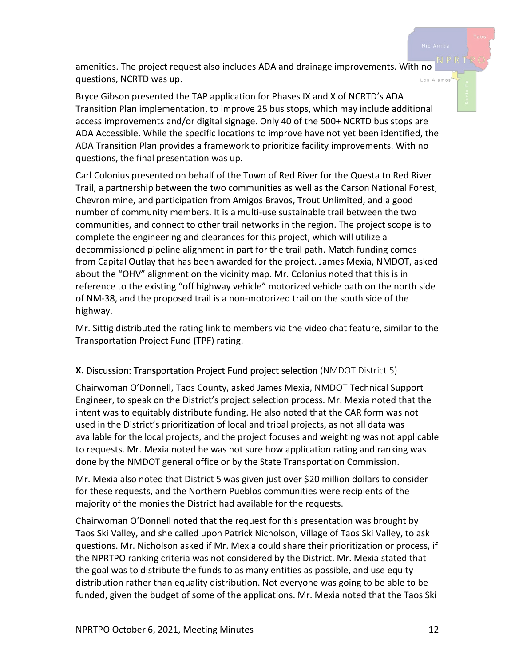amenities. The project request also includes ADA and drainage improvements. With no questions, NCRTD was up. Los Alamos

Bryce Gibson presented the TAP application for Phases IX and X of NCRTD's ADA Transition Plan implementation, to improve 25 bus stops, which may include additional access improvements and/or digital signage. Only 40 of the 500+ NCRTD bus stops are ADA Accessible. While the specific locations to improve have not yet been identified, the ADA Transition Plan provides a framework to prioritize facility improvements. With no questions, the final presentation was up.

Carl Colonius presented on behalf of the Town of Red River for the Questa to Red River Trail, a partnership between the two communities as well as the Carson National Forest, Chevron mine, and participation from Amigos Bravos, Trout Unlimited, and a good number of community members. It is a multi-use sustainable trail between the two communities, and connect to other trail networks in the region. The project scope is to complete the engineering and clearances for this project, which will utilize a decommissioned pipeline alignment in part for the trail path. Match funding comes from Capital Outlay that has been awarded for the project. James Mexia, NMDOT, asked about the "OHV" alignment on the vicinity map. Mr. Colonius noted that this is in reference to the existing "off highway vehicle" motorized vehicle path on the north side of NM-38, and the proposed trail is a non-motorized trail on the south side of the highway.

Mr. Sittig distributed the rating link to members via the video chat feature, similar to the Transportation Project Fund (TPF) rating.

## **X.** Discussion: Transportation Project Fund project selection (NMDOT District 5)

Chairwoman O'Donnell, Taos County, asked James Mexia, NMDOT Technical Support Engineer, to speak on the District's project selection process. Mr. Mexia noted that the intent was to equitably distribute funding. He also noted that the CAR form was not used in the District's prioritization of local and tribal projects, as not all data was available for the local projects, and the project focuses and weighting was not applicable to requests. Mr. Mexia noted he was not sure how application rating and ranking was done by the NMDOT general office or by the State Transportation Commission.

Mr. Mexia also noted that District 5 was given just over \$20 million dollars to consider for these requests, and the Northern Pueblos communities were recipients of the majority of the monies the District had available for the requests.

Chairwoman O'Donnell noted that the request for this presentation was brought by Taos Ski Valley, and she called upon Patrick Nicholson, Village of Taos Ski Valley, to ask questions. Mr. Nicholson asked if Mr. Mexia could share their prioritization or process, if the NPRTPO ranking criteria was not considered by the District. Mr. Mexia stated that the goal was to distribute the funds to as many entities as possible, and use equity distribution rather than equality distribution. Not everyone was going to be able to be funded, given the budget of some of the applications. Mr. Mexia noted that the Taos Ski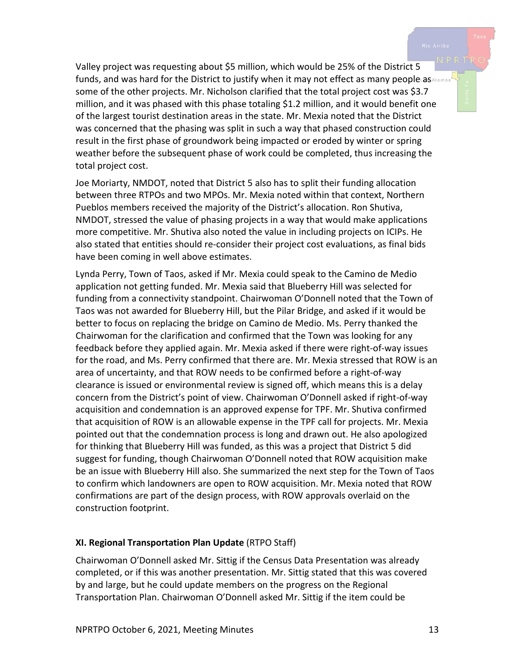Valley project was requesting about \$5 million, which would be 25% of the District 5 funds, and was hard for the District to justify when it may not effect as many people as starres some of the other projects. Mr. Nicholson clarified that the total project cost was \$3.7 million, and it was phased with this phase totaling \$1.2 million, and it would benefit one of the largest tourist destination areas in the state. Mr. Mexia noted that the District was concerned that the phasing was split in such a way that phased construction could result in the first phase of groundwork being impacted or eroded by winter or spring weather before the subsequent phase of work could be completed, thus increasing the total project cost.

Joe Moriarty, NMDOT, noted that District 5 also has to split their funding allocation between three RTPOs and two MPOs. Mr. Mexia noted within that context, Northern Pueblos members received the majority of the District's allocation. Ron Shutiva, NMDOT, stressed the value of phasing projects in a way that would make applications more competitive. Mr. Shutiva also noted the value in including projects on ICIPs. He also stated that entities should re-consider their project cost evaluations, as final bids have been coming in well above estimates.

Lynda Perry, Town of Taos, asked if Mr. Mexia could speak to the Camino de Medio application not getting funded. Mr. Mexia said that Blueberry Hill was selected for funding from a connectivity standpoint. Chairwoman O'Donnell noted that the Town of Taos was not awarded for Blueberry Hill, but the Pilar Bridge, and asked if it would be better to focus on replacing the bridge on Camino de Medio. Ms. Perry thanked the Chairwoman for the clarification and confirmed that the Town was looking for any feedback before they applied again. Mr. Mexia asked if there were right-of-way issues for the road, and Ms. Perry confirmed that there are. Mr. Mexia stressed that ROW is an area of uncertainty, and that ROW needs to be confirmed before a right-of-way clearance is issued or environmental review is signed off, which means this is a delay concern from the District's point of view. Chairwoman O'Donnell asked if right-of-way acquisition and condemnation is an approved expense for TPF. Mr. Shutiva confirmed that acquisition of ROW is an allowable expense in the TPF call for projects. Mr. Mexia pointed out that the condemnation process is long and drawn out. He also apologized for thinking that Blueberry Hill was funded, as this was a project that District 5 did suggest for funding, though Chairwoman O'Donnell noted that ROW acquisition make be an issue with Blueberry Hill also. She summarized the next step for the Town of Taos to confirm which landowners are open to ROW acquisition. Mr. Mexia noted that ROW confirmations are part of the design process, with ROW approvals overlaid on the construction footprint.

#### **XI. Regional Transportation Plan Update** (RTPO Staff)

Chairwoman O'Donnell asked Mr. Sittig if the Census Data Presentation was already completed, or if this was another presentation. Mr. Sittig stated that this was covered by and large, but he could update members on the progress on the Regional Transportation Plan. Chairwoman O'Donnell asked Mr. Sittig if the item could be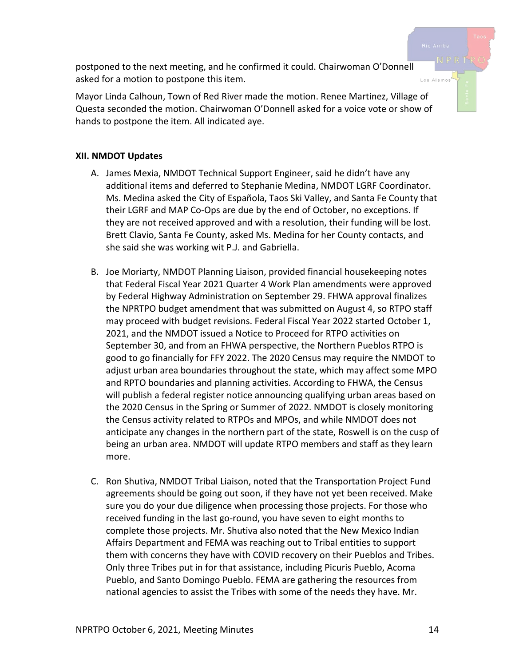NPRTPO October 6, 2021, Meeting Minutes 14

postponed to the next meeting, and he confirmed it could. Chairwoman O'Donnell asked for a motion to postpone this item.

Mayor Linda Calhoun, Town of Red River made the motion. Renee Martinez, Village of Questa seconded the motion. Chairwoman O'Donnell asked for a voice vote or show of hands to postpone the item. All indicated aye.

#### **XII. NMDOT Updates**

- A. James Mexia, NMDOT Technical Support Engineer, said he didn't have any additional items and deferred to Stephanie Medina, NMDOT LGRF Coordinator. Ms. Medina asked the City of Española, Taos Ski Valley, and Santa Fe County that their LGRF and MAP Co-Ops are due by the end of October, no exceptions. If they are not received approved and with a resolution, their funding will be lost. Brett Clavio, Santa Fe County, asked Ms. Medina for her County contacts, and she said she was working wit P.J. and Gabriella.
- B. Joe Moriarty, NMDOT Planning Liaison, provided financial housekeeping notes that Federal Fiscal Year 2021 Quarter 4 Work Plan amendments were approved by Federal Highway Administration on September 29. FHWA approval finalizes the NPRTPO budget amendment that was submitted on August 4, so RTPO staff may proceed with budget revisions. Federal Fiscal Year 2022 started October 1, 2021, and the NMDOT issued a Notice to Proceed for RTPO activities on September 30, and from an FHWA perspective, the Northern Pueblos RTPO is good to go financially for FFY 2022. The 2020 Census may require the NMDOT to adjust urban area boundaries throughout the state, which may affect some MPO and RPTO boundaries and planning activities. According to FHWA, the Census will publish a federal register notice announcing qualifying urban areas based on the 2020 Census in the Spring or Summer of 2022. NMDOT is closely monitoring the Census activity related to RTPOs and MPOs, and while NMDOT does not anticipate any changes in the northern part of the state, Roswell is on the cusp of being an urban area. NMDOT will update RTPO members and staff as they learn more.
- C. Ron Shutiva, NMDOT Tribal Liaison, noted that the Transportation Project Fund agreements should be going out soon, if they have not yet been received. Make sure you do your due diligence when processing those projects. For those who received funding in the last go-round, you have seven to eight months to complete those projects. Mr. Shutiva also noted that the New Mexico Indian Affairs Department and FEMA was reaching out to Tribal entities to support them with concerns they have with COVID recovery on their Pueblos and Tribes. Only three Tribes put in for that assistance, including Picuris Pueblo, Acoma Pueblo, and Santo Domingo Pueblo. FEMA are gathering the resources from national agencies to assist the Tribes with some of the needs they have. Mr.

Los Alamos